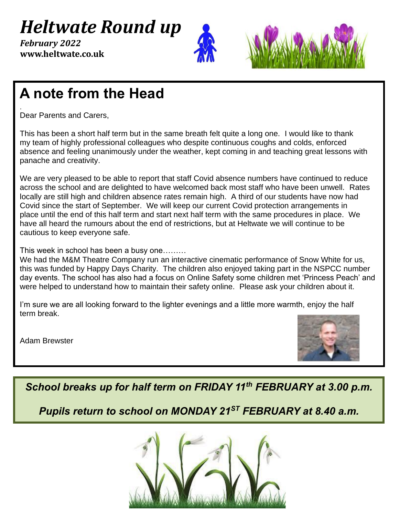*Heltwate Round up*

j 0 + **www.heltwate.co.uk** *February 2022*





## **A note from the Head**

. Dear Parents and Carers,

This has been a short half term but in the same breath felt quite a long one. I would like to thank my team of highly professional colleagues who despite continuous coughs and colds, enforced absence and feeling unanimously under the weather, kept coming in and teaching great lessons with panache and creativity.

We are very pleased to be able to report that staff Covid absence numbers have continued to reduce across the school and are delighted to have welcomed back most staff who have been unwell. Rates locally are still high and children absence rates remain high. A third of our students have now had Covid since the start of September. We will keep our current Covid protection arrangements in place until the end of this half term and start next half term with the same procedures in place. We have all heard the rumours about the end of restrictions, but at Heltwate we will continue to be cautious to keep everyone safe.

This week in school has been a busy one………

We had the M&M Theatre Company run an interactive cinematic performance of Snow White for us, this was funded by Happy Days Charity. The children also enjoyed taking part in the NSPCC number day events. The school has also had a focus on Online Safety some children met 'Princess Peach' and were helped to understand how to maintain their safety online. Please ask your children about it.

I'm sure we are all looking forward to the lighter evenings and a little more warmth, enjoy the half term break.

Adam Brewster



*School breaks up for half term on FRIDAY 11th FEBRUARY at 3.00 p.m.*

*Pupils return to school on MONDAY 21ST FEBRUARY at 8.40 a.m.* 

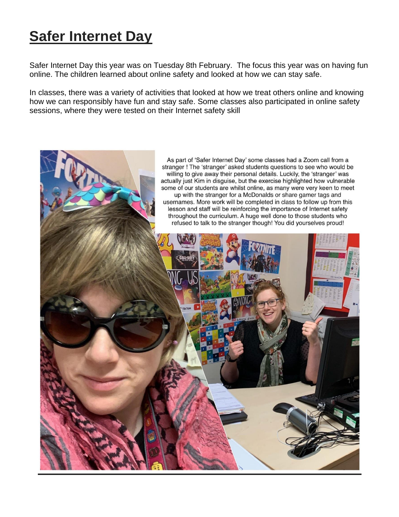# **Safer Internet Day**

Safer Internet Day this year was on Tuesday 8th February. The focus this year was on having fun online. The children learned about online safety and looked at how we can stay safe.

In classes, there was a variety of activities that looked at how we treat others online and knowing how we can responsibly have fun and stay safe. Some classes also participated in online safety sessions, where they were tested on their Internet safety skill

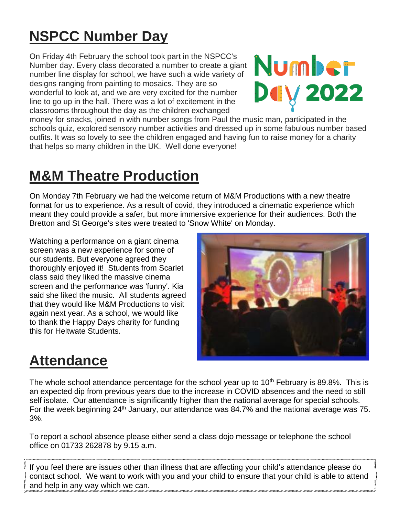# **NSPCC Number Day**

On Friday 4th February the school took part in the NSPCC's Number day. Every class decorated a number to create a giant number line display for school, we have such a wide variety of designs ranging from painting to mosaics. They are so wonderful to look at, and we are very excited for the number line to go up in the hall. There was a lot of excitement in the classrooms throughout the day as the children exchanged



money for snacks, joined in with number songs from Paul the music man, participated in the schools quiz, explored sensory number activities and dressed up in some fabulous number based outfits. It was so lovely to see the children engaged and having fun to raise money for a charity that helps so many children in the UK. Well done everyone!

### **M&M Theatre Production**

On Monday 7th February we had the welcome return of M&M Productions with a new theatre format for us to experience. As a result of covid, they introduced a cinematic experience which meant they could provide a safer, but more immersive experience for their audiences. Both the Bretton and St George's sites were treated to 'Snow White' on Monday.

Watching a performance on a giant cinema screen was a new experience for some of our students. But everyone agreed they thoroughly enjoyed it! Students from Scarlet class said they liked the massive cinema screen and the performance was 'funny'. Kia said she liked the music. All students agreed that they would like M&M Productions to visit again next year. As a school, we would like to thank the Happy Days charity for funding this for Heltwate Students.



#### **Attendance**

The whole school attendance percentage for the school year up to  $10<sup>th</sup>$  February is 89.8%. This is an expected dip from previous years due to the increase in COVID absences and the need to still self isolate. Our attendance is significantly higher than the national average for special schools. For the week beginning 24<sup>th</sup> January, our attendance was 84.7% and the national average was 75. 3%.

To report a school absence please either send a class dojo message or telephone the school office on 01733 262878 by 9.15 a.m.

If you feel there are issues other than illness that are affecting your child's attendance please do contact school. We want to work with you and your child to ensure that your child is able to attend and help in any way which we can.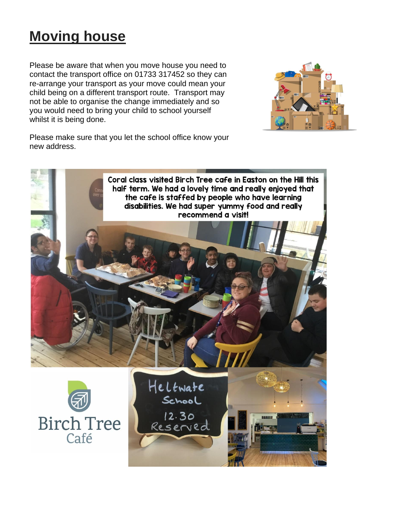## **Moving house**

Please be aware that when you move house you need to contact the transport office on 01733 317452 so they can re-arrange your transport as your move could mean your child being on a different transport route. Transport may not be able to organise the change immediately and so you would need to bring your child to school yourself whilst it is being done.



Please make sure that you let the school office know your new address.